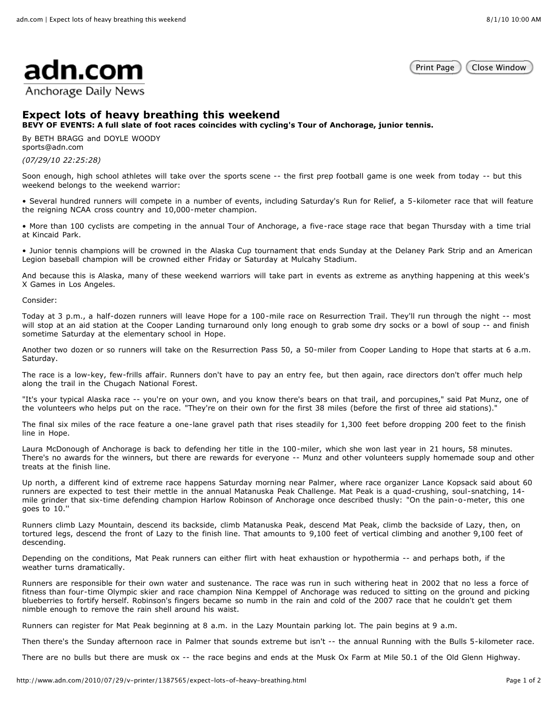

Anchorage Daily News

Print Page ) (Close Window

## **Expect lots of heavy breathing this weekend**

**BEVY OF EVENTS: A full slate of foot races coincides with cycling's Tour of Anchorage, junior tennis.**

By BETH BRAGG and DOYLE WOODY sports@adn.com

*(07/29/10 22:25:28)*

Soon enough, high school athletes will take over the sports scene -- the first prep football game is one week from today -- but this weekend belongs to the weekend warrior:

• Several hundred runners will compete in a number of events, including Saturday's Run for Relief, a 5-kilometer race that will feature the reigning NCAA cross country and 10,000-meter champion.

• More than 100 cyclists are competing in the annual Tour of Anchorage, a five-race stage race that began Thursday with a time trial at Kincaid Park.

• Junior tennis champions will be crowned in the Alaska Cup tournament that ends Sunday at the Delaney Park Strip and an American Legion baseball champion will be crowned either Friday or Saturday at Mulcahy Stadium.

And because this is Alaska, many of these weekend warriors will take part in events as extreme as anything happening at this week's X Games in Los Angeles.

Consider:

Today at 3 p.m., a half-dozen runners will leave Hope for a 100-mile race on Resurrection Trail. They'll run through the night -- most will stop at an aid station at the Cooper Landing turnaround only long enough to grab some dry socks or a bowl of soup -- and finish sometime Saturday at the elementary school in Hope.

Another two dozen or so runners will take on the Resurrection Pass 50, a 50-miler from Cooper Landing to Hope that starts at 6 a.m. Saturday.

The race is a low-key, few-frills affair. Runners don't have to pay an entry fee, but then again, race directors don't offer much help along the trail in the Chugach National Forest.

"It's your typical Alaska race -- you're on your own, and you know there's bears on that trail, and porcupines," said Pat Munz, one of the volunteers who helps put on the race. "They're on their own for the first 38 miles (before the first of three aid stations)."

The final six miles of the race feature a one-lane gravel path that rises steadily for 1,300 feet before dropping 200 feet to the finish line in Hope.

Laura McDonough of Anchorage is back to defending her title in the 100-miler, which she won last year in 21 hours, 58 minutes. There's no awards for the winners, but there are rewards for everyone -- Munz and other volunteers supply homemade soup and other treats at the finish line.

Up north, a different kind of extreme race happens Saturday morning near Palmer, where race organizer Lance Kopsack said about 60 runners are expected to test their mettle in the annual Matanuska Peak Challenge. Mat Peak is a quad-crushing, soul-snatching, 14 mile grinder that six-time defending champion Harlow Robinson of Anchorage once described thusly: "On the pain-o-meter, this one goes to 10.''

Runners climb Lazy Mountain, descend its backside, climb Matanuska Peak, descend Mat Peak, climb the backside of Lazy, then, on tortured legs, descend the front of Lazy to the finish line. That amounts to 9,100 feet of vertical climbing and another 9,100 feet of descending.

Depending on the conditions, Mat Peak runners can either flirt with heat exhaustion or hypothermia -- and perhaps both, if the weather turns dramatically.

Runners are responsible for their own water and sustenance. The race was run in such withering heat in 2002 that no less a force of fitness than four-time Olympic skier and race champion Nina Kemppel of Anchorage was reduced to sitting on the ground and picking blueberries to fortify herself. Robinson's fingers became so numb in the rain and cold of the 2007 race that he couldn't get them nimble enough to remove the rain shell around his waist.

Runners can register for Mat Peak beginning at 8 a.m. in the Lazy Mountain parking lot. The pain begins at 9 a.m.

Then there's the Sunday afternoon race in Palmer that sounds extreme but isn't -- the annual Running with the Bulls 5-kilometer race.

There are no bulls but there are musk ox -- the race begins and ends at the Musk Ox Farm at Mile 50.1 of the Old Glenn Highway.